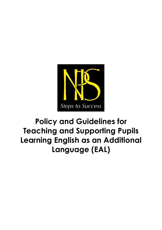

# **Policy and Guidelines for Teaching and Supporting Pupils Learning English as an Additional Language (EAL)**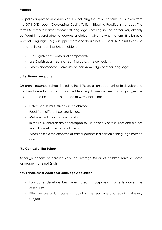#### **Purpose**

This policy applies to all children at NPS including the EYFS. The term EAL is taken from the 2011 DfES report 'Developing Quality Tuition: Effective Practice in Schools'. The term EAL refers to learners whose first language is not English. The learner may already be fluent in several other languages or dialects, which is why the term English as a Second Language (ESL) is inappropriate and should not be used. NPS aims to ensure that all children learning EAL are able to:

- Use English confidently and competently.
- Use English as a means of learning across the curriculum.
- Where appropriate, make use of their knowledge of other languages.

## **Using Home Language**

Children throughout school, including the EYFS are given opportunities to develop and use their home language in play and learning. Home cultures and languages are respected and celebrated in a range of ways, including:

- Different cultural festivals are celebrated.
- Food from different cultures is tried.
- Multi-cultural resources are available.
- In the EYFS, children are encouraged to use a variety of resources and clothes from different cultures for role play.
- When possible the expertise of staff or parents in a particular language may be used.

## **The Context of the School**

Although cohorts of children vary, on average 8-12% of children have a home language that is not English.

## **Key Principles for Additional Language Acquisition**

- Language develops best when used in purposeful contexts across the curriculum.
- Effective use of language is crucial to the teaching and learning of every subject.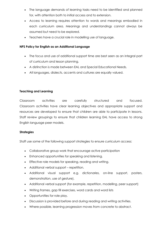- The language demands of learning tasks need to be identified and planned for, with attention both to initial access and to extension.
- Access to learning requires attention to words and meanings embodied in each curriculum area. Meanings and understandings cannot always be assumed but need to be explored.
- Teachers have a crucial role in modelling use of language.

#### **NPS Policy for English as an Additional Language**

- The focus and use of additional support time are best seen as an integral part of curriculum and lesson planning.
- A distinction is made between EAL and Special Educational Needs.
- All languages, dialects, accents and cultures are equally valued.

## **Teaching and Learning**

Classroom activities are carefully structured and focused. Classroom activities have clear learning objectives and appropriate support and resources are developed to ensure that children are able to participate in lessons. Staff review groupings to ensure that children learning EAL have access to strong English language peer models.

## **Strategies**

Staff use some of the following support strategies to ensure curriculum access:

- Collaborative group work that encourage active participation
- Enhanced opportunities for speaking and listening.
- Effective role models for speaking, reading and writing.
- Additional verbal support repetition.
- Additional visual support e.g. dictionaries, on-line support, posters, demonstration, use of gesture).
- Additional verbal support (for example, repetition, modelling, peer support)
- Writing frames, gap fill exercises, word cards and word lists
- Opportunities for role play.
- Discussion is provided before and during reading and writing activities.
- Where possible, learning progression moves from concrete to abstract.